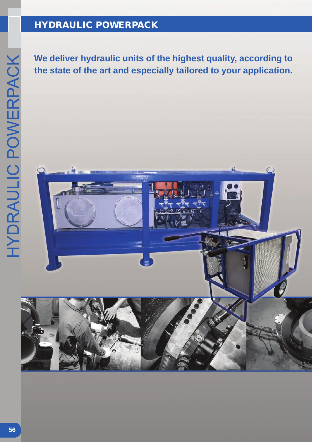# HYDRAULIC POWERPACK

**the state of the art and especially tailored to your application.**